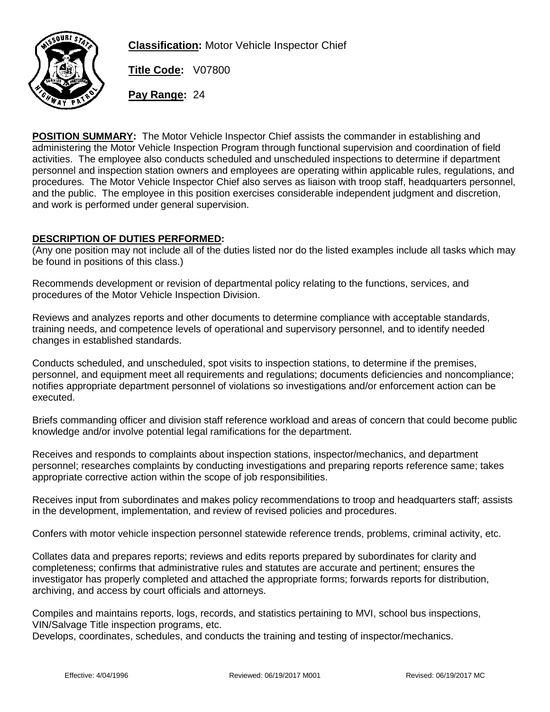

**Classification:** Motor Vehicle Inspector Chief

**Title Code:** V07800

**Pay Range:** 24

**POSITION SUMMARY:** The Motor Vehicle Inspector Chief assists the commander in establishing and administering the Motor Vehicle Inspection Program through functional supervision and coordination of field activities. The employee also conducts scheduled and unscheduled inspections to determine if department personnel and inspection station owners and employees are operating within applicable rules, regulations, and procedures. The Motor Vehicle Inspector Chief also serves as liaison with troop staff, headquarters personnel, and the public. The employee in this position exercises considerable independent judgment and discretion, and work is performed under general supervision.

## **DESCRIPTION OF DUTIES PERFORMED:**

(Any one position may not include all of the duties listed nor do the listed examples include all tasks which may be found in positions of this class.)

Recommends development or revision of departmental policy relating to the functions, services, and procedures of the Motor Vehicle Inspection Division.

Reviews and analyzes reports and other documents to determine compliance with acceptable standards, training needs, and competence levels of operational and supervisory personnel, and to identify needed changes in established standards.

Conducts scheduled, and unscheduled, spot visits to inspection stations, to determine if the premises, personnel, and equipment meet all requirements and regulations; documents deficiencies and noncompliance; notifies appropriate department personnel of violations so investigations and/or enforcement action can be executed.

Briefs commanding officer and division staff reference workload and areas of concern that could become public knowledge and/or involve potential legal ramifications for the department.

Receives and responds to complaints about inspection stations, inspector/mechanics, and department personnel; researches complaints by conducting investigations and preparing reports reference same; takes appropriate corrective action within the scope of job responsibilities.

Receives input from subordinates and makes policy recommendations to troop and headquarters staff; assists in the development, implementation, and review of revised policies and procedures.

Confers with motor vehicle inspection personnel statewide reference trends, problems, criminal activity, etc.

Collates data and prepares reports; reviews and edits reports prepared by subordinates for clarity and completeness; confirms that administrative rules and statutes are accurate and pertinent; ensures the investigator has properly completed and attached the appropriate forms; forwards reports for distribution, archiving, and access by court officials and attorneys.

Compiles and maintains reports, logs, records, and statistics pertaining to MVI, school bus inspections, VIN/Salvage Title inspection programs, etc.

Develops, coordinates, schedules, and conducts the training and testing of inspector/mechanics.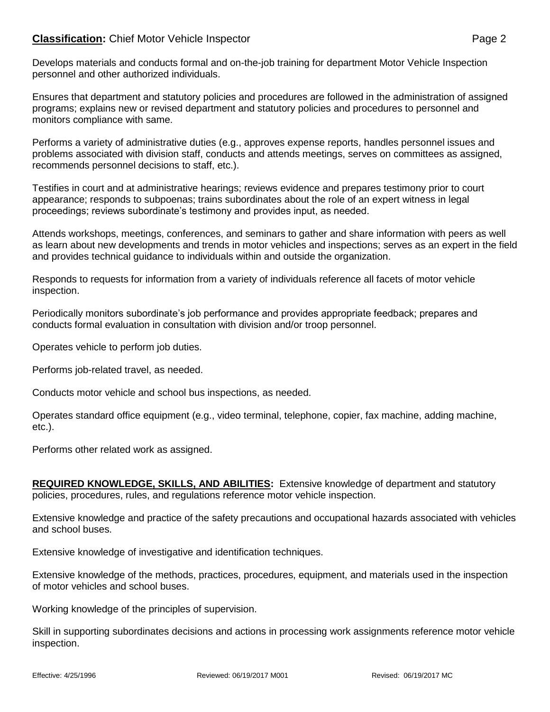## **Classification:** Chief Motor Vehicle Inspector **Page 2** Page 2

Develops materials and conducts formal and on-the-job training for department Motor Vehicle Inspection personnel and other authorized individuals.

Ensures that department and statutory policies and procedures are followed in the administration of assigned programs; explains new or revised department and statutory policies and procedures to personnel and monitors compliance with same.

Performs a variety of administrative duties (e.g., approves expense reports, handles personnel issues and problems associated with division staff, conducts and attends meetings, serves on committees as assigned, recommends personnel decisions to staff, etc.).

Testifies in court and at administrative hearings; reviews evidence and prepares testimony prior to court appearance; responds to subpoenas; trains subordinates about the role of an expert witness in legal proceedings; reviews subordinate's testimony and provides input, as needed.

Attends workshops, meetings, conferences, and seminars to gather and share information with peers as well as learn about new developments and trends in motor vehicles and inspections; serves as an expert in the field and provides technical guidance to individuals within and outside the organization.

Responds to requests for information from a variety of individuals reference all facets of motor vehicle inspection.

Periodically monitors subordinate's job performance and provides appropriate feedback; prepares and conducts formal evaluation in consultation with division and/or troop personnel.

Operates vehicle to perform job duties.

Performs job-related travel, as needed.

Conducts motor vehicle and school bus inspections, as needed.

Operates standard office equipment (e.g., video terminal, telephone, copier, fax machine, adding machine, etc.).

Performs other related work as assigned.

**REQUIRED KNOWLEDGE, SKILLS, AND ABILITIES:** Extensive knowledge of department and statutory policies, procedures, rules, and regulations reference motor vehicle inspection.

Extensive knowledge and practice of the safety precautions and occupational hazards associated with vehicles and school buses.

Extensive knowledge of investigative and identification techniques.

Extensive knowledge of the methods, practices, procedures, equipment, and materials used in the inspection of motor vehicles and school buses.

Working knowledge of the principles of supervision.

Skill in supporting subordinates decisions and actions in processing work assignments reference motor vehicle inspection.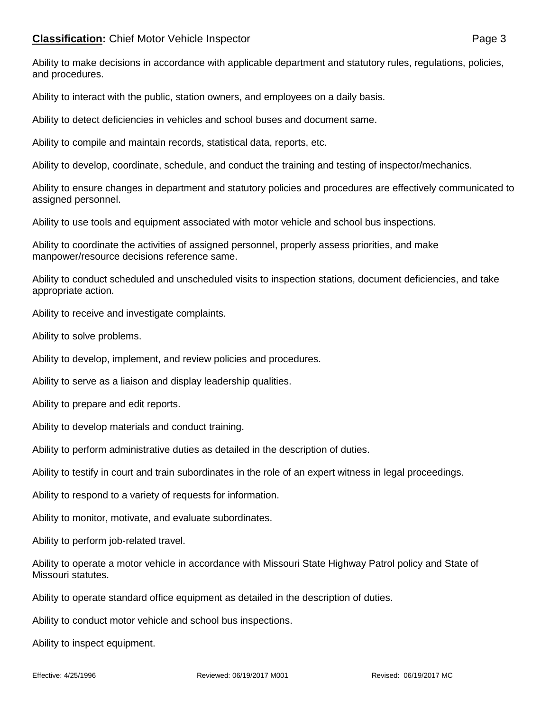Ability to make decisions in accordance with applicable department and statutory rules, regulations, policies, and procedures.

Ability to interact with the public, station owners, and employees on a daily basis.

Ability to detect deficiencies in vehicles and school buses and document same.

Ability to compile and maintain records, statistical data, reports, etc.

Ability to develop, coordinate, schedule, and conduct the training and testing of inspector/mechanics.

Ability to ensure changes in department and statutory policies and procedures are effectively communicated to assigned personnel.

Ability to use tools and equipment associated with motor vehicle and school bus inspections.

Ability to coordinate the activities of assigned personnel, properly assess priorities, and make manpower/resource decisions reference same.

Ability to conduct scheduled and unscheduled visits to inspection stations, document deficiencies, and take appropriate action.

Ability to receive and investigate complaints.

Ability to solve problems.

Ability to develop, implement, and review policies and procedures.

Ability to serve as a liaison and display leadership qualities.

Ability to prepare and edit reports.

Ability to develop materials and conduct training.

Ability to perform administrative duties as detailed in the description of duties.

Ability to testify in court and train subordinates in the role of an expert witness in legal proceedings.

Ability to respond to a variety of requests for information.

Ability to monitor, motivate, and evaluate subordinates.

Ability to perform job-related travel.

Ability to operate a motor vehicle in accordance with Missouri State Highway Patrol policy and State of Missouri statutes.

Ability to operate standard office equipment as detailed in the description of duties.

Ability to conduct motor vehicle and school bus inspections.

Ability to inspect equipment.